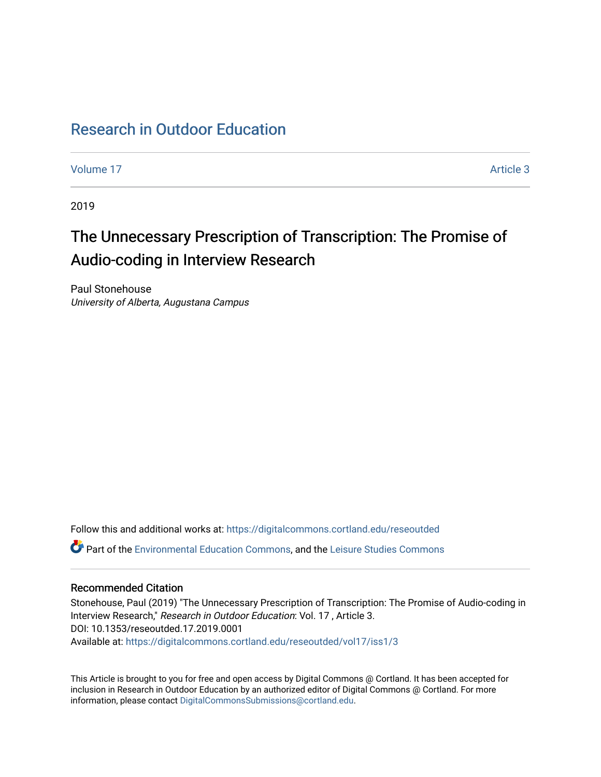# [Research in Outdoor Education](https://digitalcommons.cortland.edu/reseoutded)

[Volume 17](https://digitalcommons.cortland.edu/reseoutded/vol17) Article 3

2019

# The Unnecessary Prescription of Transcription: The Promise of Audio-coding in Interview Research

Paul Stonehouse University of Alberta, Augustana Campus

Follow this and additional works at: [https://digitalcommons.cortland.edu/reseoutded](https://digitalcommons.cortland.edu/reseoutded?utm_source=digitalcommons.cortland.edu%2Freseoutded%2Fvol17%2Fiss1%2F3&utm_medium=PDF&utm_campaign=PDFCoverPages) **C**<sup> $\bullet$ </sup> Part of the [Environmental Education Commons](http://network.bepress.com/hgg/discipline/1305?utm_source=digitalcommons.cortland.edu%2Freseoutded%2Fvol17%2Fiss1%2F3&utm_medium=PDF&utm_campaign=PDFCoverPages), and the Leisure Studies Commons

# Recommended Citation

Stonehouse, Paul (2019) "The Unnecessary Prescription of Transcription: The Promise of Audio-coding in Interview Research," Research in Outdoor Education: Vol. 17 , Article 3. DOI: 10.1353/reseoutded.17.2019.0001 Available at: [https://digitalcommons.cortland.edu/reseoutded/vol17/iss1/3](https://digitalcommons.cortland.edu/reseoutded/vol17/iss1/3?utm_source=digitalcommons.cortland.edu%2Freseoutded%2Fvol17%2Fiss1%2F3&utm_medium=PDF&utm_campaign=PDFCoverPages) 

This Article is brought to you for free and open access by Digital Commons @ Cortland. It has been accepted for inclusion in Research in Outdoor Education by an authorized editor of Digital Commons @ Cortland. For more information, please contact [DigitalCommonsSubmissions@cortland.edu](mailto:DigitalCommonsSubmissions@cortland.edu).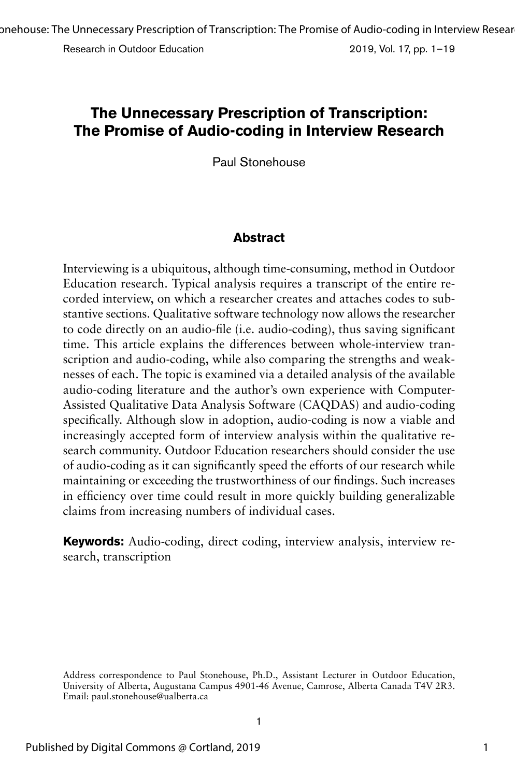Research in Outdoor Education 2019, Vol. 17, pp. 1–19

# **The Unnecessary Prescription of Transcription: The Promise of Audio-coding in Interview Research**

Paul Stonehouse

## **Abstract**

Interviewing is a ubiquitous, although time-consuming, method in Outdoor Education research. Typical analysis requires a transcript of the entire recorded interview, on which a researcher creates and attaches codes to substantive sections. Qualitative software technology now allows the researcher to code directly on an audio-file (i.e. audio-coding), thus saving significant time. This article explains the differences between whole-interview transcription and audio-coding, while also comparing the strengths and weaknesses of each. The topic is examined via a detailed analysis of the available audio-coding literature and the author's own experience with Computer-Assisted Qualitative Data Analysis Software (CAQDAS) and audio-coding specifically. Although slow in adoption, audio-coding is now a viable and increasingly accepted form of interview analysis within the qualitative research community. Outdoor Education researchers should consider the use of audio-coding as it can significantly speed the efforts of our research while maintaining or exceeding the trustworthiness of our findings. Such increases in efficiency over time could result in more quickly building generalizable claims from increasing numbers of individual cases.

**Keywords:** Audio-coding, direct coding, interview analysis, interview research, transcription

Address correspondence to Paul Stonehouse, Ph.D., Assistant Lecturer in Outdoor Education, University of Alberta, Augustana Campus 4901-46 Avenue, Camrose, Alberta Canada T4V 2R3. Email: paul.stonehouse@ualberta.ca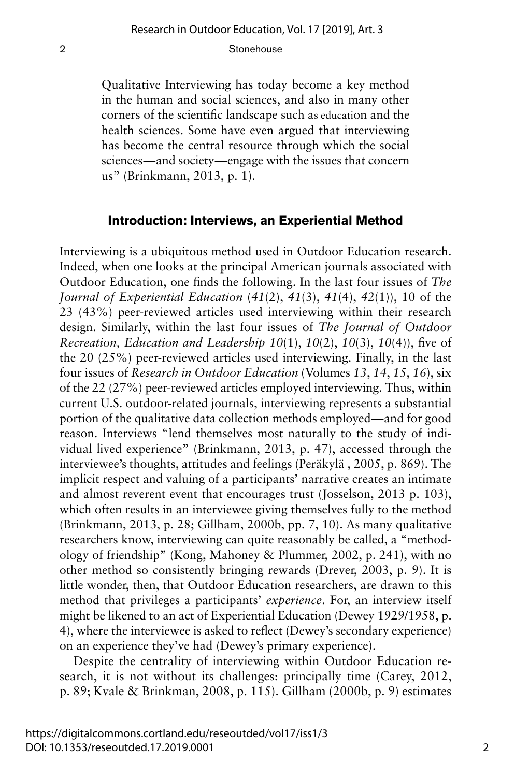Qualitative Interviewing has today become a key method in the human and social sciences, and also in many other corners of the scientific landscape such as education and the health sciences. Some have even argued that interviewing has become the central resource through which the social sciences—and society—engage with the issues that concern us" (Brinkmann, 2013, p. 1).

## **Introduction: Interviews, an Experiential Method**

Interviewing is a ubiquitous method used in Outdoor Education research. Indeed, when one looks at the principal American journals associated with Outdoor Education, one finds the following. In the last four issues of *The Journal of Experiential Education* (*41*(2), *41*(3), *41*(4), *42*(1)), 10 of the 23 (43%) peer-reviewed articles used interviewing within their research design. Similarly, within the last four issues of *The Journal of Outdoor Recreation, Education and Leadership 10*(1), *10*(2), *10*(3), *10*(4)), five of the 20 (25%) peer-reviewed articles used interviewing. Finally, in the last four issues of *Research in Outdoor Education* (Volumes *13*, *14*, *15*, *16*), six of the 22 (27%) peer-reviewed articles employed interviewing. Thus, within current U.S. outdoor-related journals, interviewing represents a substantial portion of the qualitative data collection methods employed—and for good reason. Interviews "lend themselves most naturally to the study of individual lived experience" (Brinkmann, 2013, p. 47), accessed through the interviewee's thoughts, attitudes and feelings (Peräkylä , 2005, p. 869). The implicit respect and valuing of a participants' narrative creates an intimate and almost reverent event that encourages trust (Josselson, 2013 p. 103), which often results in an interviewee giving themselves fully to the method (Brinkmann, 2013, p. 28; Gillham, 2000b, pp. 7, 10). As many qualitative researchers know, interviewing can quite reasonably be called, a "methodology of friendship" (Kong, Mahoney & Plummer, 2002, p. 241), with no other method so consistently bringing rewards (Drever, 2003, p. 9). It is little wonder, then, that Outdoor Education researchers, are drawn to this method that privileges a participants' *experience*. For, an interview itself might be likened to an act of Experiential Education (Dewey 1929/1958, p. 4), where the interviewee is asked to reflect (Dewey's secondary experience) on an experience they've had (Dewey's primary experience).

Despite the centrality of interviewing within Outdoor Education research, it is not without its challenges: principally time (Carey, 2012, p. 89; Kvale & Brinkman, 2008, p. 115). Gillham (2000b, p. 9) estimates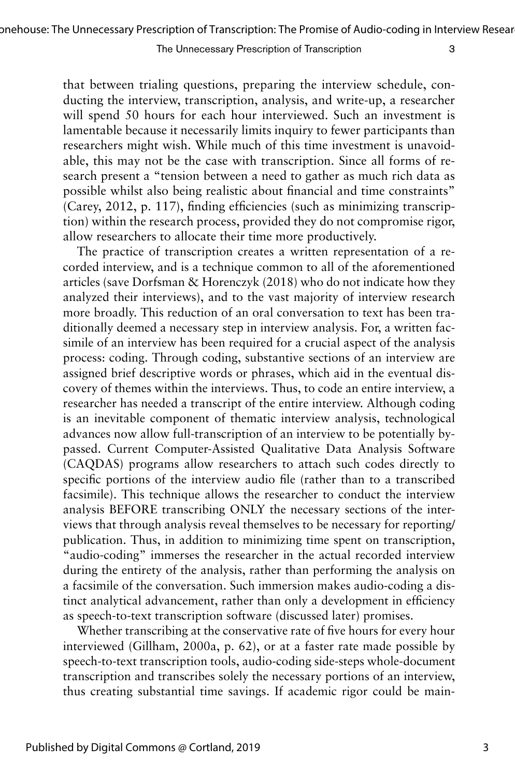that between trialing questions, preparing the interview schedule, conducting the interview, transcription, analysis, and write-up, a researcher will spend 50 hours for each hour interviewed. Such an investment is lamentable because it necessarily limits inquiry to fewer participants than researchers might wish. While much of this time investment is unavoidable, this may not be the case with transcription. Since all forms of research present a "tension between a need to gather as much rich data as possible whilst also being realistic about financial and time constraints" (Carey, 2012, p. 117), finding efficiencies (such as minimizing transcription) within the research process, provided they do not compromise rigor, allow researchers to allocate their time more productively.

The practice of transcription creates a written representation of a recorded interview, and is a technique common to all of the aforementioned articles (save Dorfsman & Horenczyk (2018) who do not indicate how they analyzed their interviews), and to the vast majority of interview research more broadly. This reduction of an oral conversation to text has been traditionally deemed a necessary step in interview analysis. For, a written facsimile of an interview has been required for a crucial aspect of the analysis process: coding. Through coding, substantive sections of an interview are assigned brief descriptive words or phrases, which aid in the eventual discovery of themes within the interviews. Thus, to code an entire interview, a researcher has needed a transcript of the entire interview. Although coding is an inevitable component of thematic interview analysis, technological advances now allow full-transcription of an interview to be potentially bypassed. Current Computer-Assisted Qualitative Data Analysis Software (CAQDAS) programs allow researchers to attach such codes directly to specific portions of the interview audio file (rather than to a transcribed facsimile). This technique allows the researcher to conduct the interview analysis BEFORE transcribing ONLY the necessary sections of the interviews that through analysis reveal themselves to be necessary for reporting/ publication. Thus, in addition to minimizing time spent on transcription, "audio-coding" immerses the researcher in the actual recorded interview during the entirety of the analysis, rather than performing the analysis on a facsimile of the conversation. Such immersion makes audio-coding a distinct analytical advancement, rather than only a development in efficiency as speech-to-text transcription software (discussed later) promises.

Whether transcribing at the conservative rate of five hours for every hour interviewed (Gillham, 2000a, p. 62), or at a faster rate made possible by speech-to-text transcription tools, audio-coding side-steps whole-document transcription and transcribes solely the necessary portions of an interview, thus creating substantial time savings. If academic rigor could be main-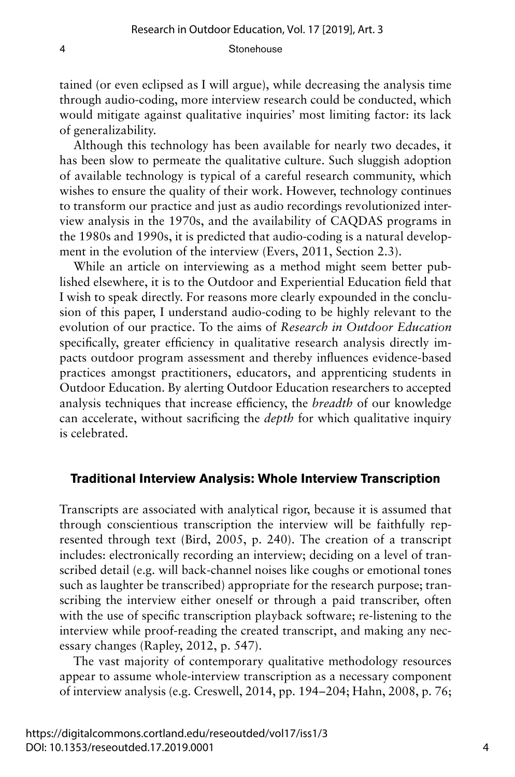tained (or even eclipsed as I will argue), while decreasing the analysis time through audio-coding, more interview research could be conducted, which would mitigate against qualitative inquiries' most limiting factor: its lack of generalizability.

Although this technology has been available for nearly two decades, it has been slow to permeate the qualitative culture. Such sluggish adoption of available technology is typical of a careful research community, which wishes to ensure the quality of their work. However, technology continues to transform our practice and just as audio recordings revolutionized interview analysis in the 1970s, and the availability of CAQDAS programs in the 1980s and 1990s, it is predicted that audio-coding is a natural development in the evolution of the interview (Evers, 2011, Section 2.3).

While an article on interviewing as a method might seem better published elsewhere, it is to the Outdoor and Experiential Education field that I wish to speak directly. For reasons more clearly expounded in the conclusion of this paper, I understand audio-coding to be highly relevant to the evolution of our practice. To the aims of *Research in Outdoor Education* specifically, greater efficiency in qualitative research analysis directly impacts outdoor program assessment and thereby influences evidence-based practices amongst practitioners, educators, and apprenticing students in Outdoor Education. By alerting Outdoor Education researchers to accepted analysis techniques that increase efficiency, the *breadth* of our knowledge can accelerate, without sacrificing the *depth* for which qualitative inquiry is celebrated.

### **Traditional Interview Analysis: Whole Interview Transcription**

Transcripts are associated with analytical rigor, because it is assumed that through conscientious transcription the interview will be faithfully represented through text (Bird, 2005, p. 240). The creation of a transcript includes: electronically recording an interview; deciding on a level of transcribed detail (e.g. will back-channel noises like coughs or emotional tones such as laughter be transcribed) appropriate for the research purpose; transcribing the interview either oneself or through a paid transcriber, often with the use of specific transcription playback software; re-listening to the interview while proof-reading the created transcript, and making any necessary changes (Rapley, 2012, p. 547).

The vast majority of contemporary qualitative methodology resources appear to assume whole-interview transcription as a necessary component of interview analysis (e.g. Creswell, 2014, pp. 194–204; Hahn, 2008, p. 76;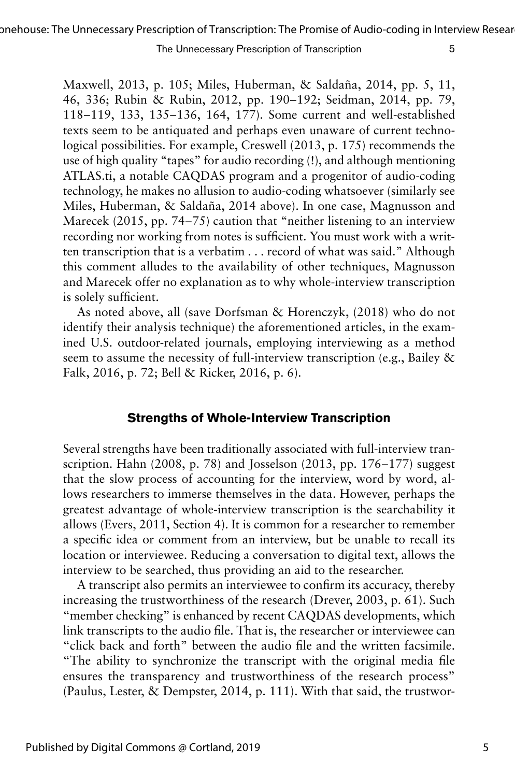onehouse: The Unnecessary Prescription of Transcription: The Promise of Audio-coding in Interview Resear

The Unnecessary Prescription of Transcription 5

Maxwell, 2013, p. 105; Miles, Huberman, & Saldaña, 2014, pp. 5, 11, 46, 336; Rubin & Rubin, 2012, pp. 190–192; Seidman, 2014, pp. 79, 118–119, 133, 135–136, 164, 177). Some current and well-established texts seem to be antiquated and perhaps even unaware of current technological possibilities. For example, Creswell (2013, p. 175) recommends the use of high quality "tapes" for audio recording (!), and although mentioning ATLAS.ti, a notable CAQDAS program and a progenitor of audio-coding technology, he makes no allusion to audio-coding whatsoever (similarly see Miles, Huberman, & Saldaña, 2014 above). In one case, Magnusson and Marecek (2015, pp. 74–75) caution that "neither listening to an interview recording nor working from notes is sufficient. You must work with a written transcription that is a verbatim . . . record of what was said." Although this comment alludes to the availability of other techniques, Magnusson and Marecek offer no explanation as to why whole-interview transcription is solely sufficient.

As noted above, all (save Dorfsman & Horenczyk, (2018) who do not identify their analysis technique) the aforementioned articles, in the examined U.S. outdoor-related journals, employing interviewing as a method seem to assume the necessity of full-interview transcription (e.g., Bailey & Falk, 2016, p. 72; Bell & Ricker, 2016, p. 6).

## **Strengths of Whole-Interview Transcription**

Several strengths have been traditionally associated with full-interview transcription. Hahn (2008, p. 78) and Josselson (2013, pp. 176–177) suggest that the slow process of accounting for the interview, word by word, allows researchers to immerse themselves in the data. However, perhaps the greatest advantage of whole-interview transcription is the searchability it allows (Evers, 2011, Section 4). It is common for a researcher to remember a specific idea or comment from an interview, but be unable to recall its location or interviewee. Reducing a conversation to digital text, allows the interview to be searched, thus providing an aid to the researcher.

A transcript also permits an interviewee to confirm its accuracy, thereby increasing the trustworthiness of the research (Drever, 2003, p. 61). Such "member checking" is enhanced by recent CAQDAS developments, which link transcripts to the audio file. That is, the researcher or interviewee can "click back and forth" between the audio file and the written facsimile. "The ability to synchronize the transcript with the original media file ensures the transparency and trustworthiness of the research process" (Paulus, Lester, & Dempster, 2014, p. 111). With that said, the trustwor-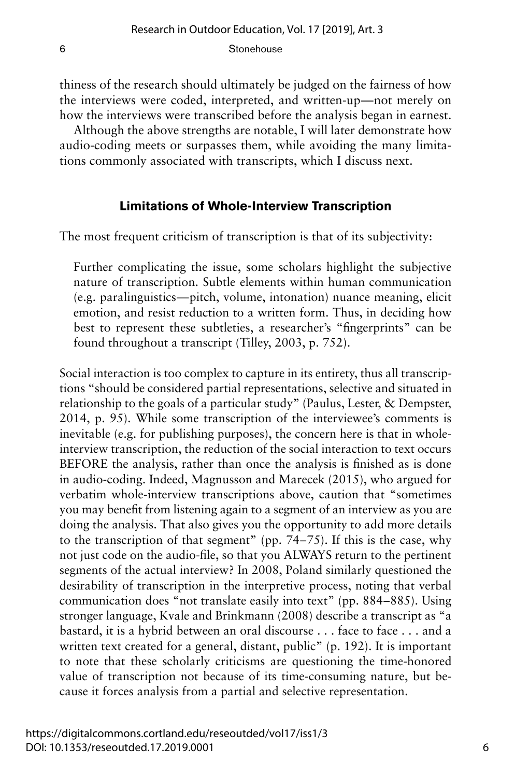thiness of the research should ultimately be judged on the fairness of how the interviews were coded, interpreted, and written-up—not merely on how the interviews were transcribed before the analysis began in earnest.

Although the above strengths are notable, I will later demonstrate how audio-coding meets or surpasses them, while avoiding the many limitations commonly associated with transcripts, which I discuss next.

## **Limitations of Whole-Interview Transcription**

The most frequent criticism of transcription is that of its subjectivity:

Further complicating the issue, some scholars highlight the subjective nature of transcription. Subtle elements within human communication (e.g. paralinguistics—pitch, volume, intonation) nuance meaning, elicit emotion, and resist reduction to a written form. Thus, in deciding how best to represent these subtleties, a researcher's "fingerprints" can be found throughout a transcript (Tilley, 2003, p. 752).

Social interaction is too complex to capture in its entirety, thus all transcriptions "should be considered partial representations, selective and situated in relationship to the goals of a particular study" (Paulus, Lester, & Dempster, 2014, p. 95). While some transcription of the interviewee's comments is inevitable (e.g. for publishing purposes), the concern here is that in wholeinterview transcription, the reduction of the social interaction to text occurs BEFORE the analysis, rather than once the analysis is finished as is done in audio-coding. Indeed, Magnusson and Marecek (2015), who argued for verbatim whole-interview transcriptions above, caution that "sometimes you may benefit from listening again to a segment of an interview as you are doing the analysis. That also gives you the opportunity to add more details to the transcription of that segment" (pp. 74–75). If this is the case, why not just code on the audio-file, so that you ALWAYS return to the pertinent segments of the actual interview? In 2008, Poland similarly questioned the desirability of transcription in the interpretive process, noting that verbal communication does "not translate easily into text" (pp. 884–885). Using stronger language, Kvale and Brinkmann (2008) describe a transcript as "a bastard, it is a hybrid between an oral discourse . . . face to face . . . and a written text created for a general, distant, public" (p. 192). It is important to note that these scholarly criticisms are questioning the time-honored value of transcription not because of its time-consuming nature, but because it forces analysis from a partial and selective representation.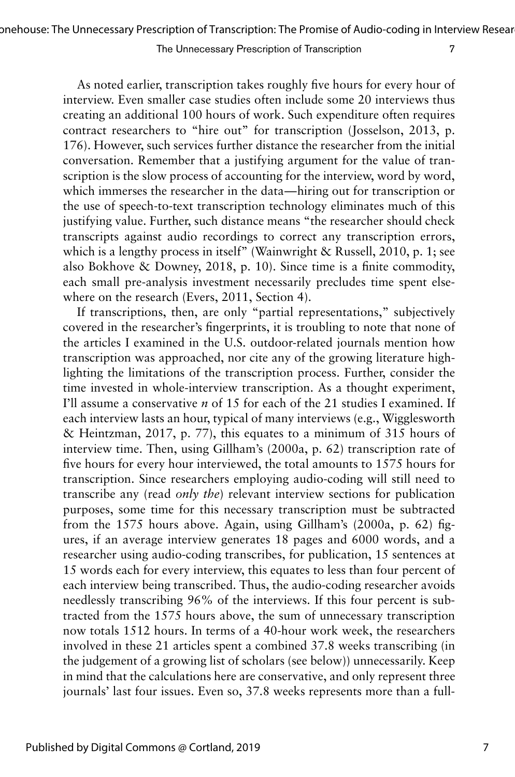As noted earlier, transcription takes roughly five hours for every hour of interview. Even smaller case studies often include some 20 interviews thus creating an additional 100 hours of work. Such expenditure often requires contract researchers to "hire out" for transcription (Josselson, 2013, p. 176). However, such services further distance the researcher from the initial conversation. Remember that a justifying argument for the value of transcription is the slow process of accounting for the interview, word by word, which immerses the researcher in the data—hiring out for transcription or the use of speech-to-text transcription technology eliminates much of this justifying value. Further, such distance means "the researcher should check transcripts against audio recordings to correct any transcription errors, which is a lengthy process in itself" (Wainwright & Russell, 2010, p. 1; see also Bokhove & Downey, 2018, p. 10). Since time is a finite commodity, each small pre-analysis investment necessarily precludes time spent elsewhere on the research (Evers, 2011, Section 4).

If transcriptions, then, are only "partial representations," subjectively covered in the researcher's fingerprints, it is troubling to note that none of the articles I examined in the U.S. outdoor-related journals mention how transcription was approached, nor cite any of the growing literature highlighting the limitations of the transcription process. Further, consider the time invested in whole-interview transcription. As a thought experiment, I'll assume a conservative *n* of 15 for each of the 21 studies I examined. If each interview lasts an hour, typical of many interviews (e.g., Wigglesworth & Heintzman, 2017, p. 77), this equates to a minimum of 315 hours of interview time. Then, using Gillham's (2000a, p. 62) transcription rate of five hours for every hour interviewed, the total amounts to 1575 hours for transcription. Since researchers employing audio-coding will still need to transcribe any (read *only the*) relevant interview sections for publication purposes, some time for this necessary transcription must be subtracted from the 1575 hours above. Again, using Gillham's (2000a, p. 62) figures, if an average interview generates 18 pages and 6000 words, and a researcher using audio-coding transcribes, for publication, 15 sentences at 15 words each for every interview, this equates to less than four percent of each interview being transcribed. Thus, the audio-coding researcher avoids needlessly transcribing 96% of the interviews. If this four percent is subtracted from the 1575 hours above, the sum of unnecessary transcription now totals 1512 hours. In terms of a 40-hour work week, the researchers involved in these 21 articles spent a combined 37.8 weeks transcribing (in the judgement of a growing list of scholars (see below)) unnecessarily. Keep in mind that the calculations here are conservative, and only represent three journals' last four issues. Even so, 37.8 weeks represents more than a full-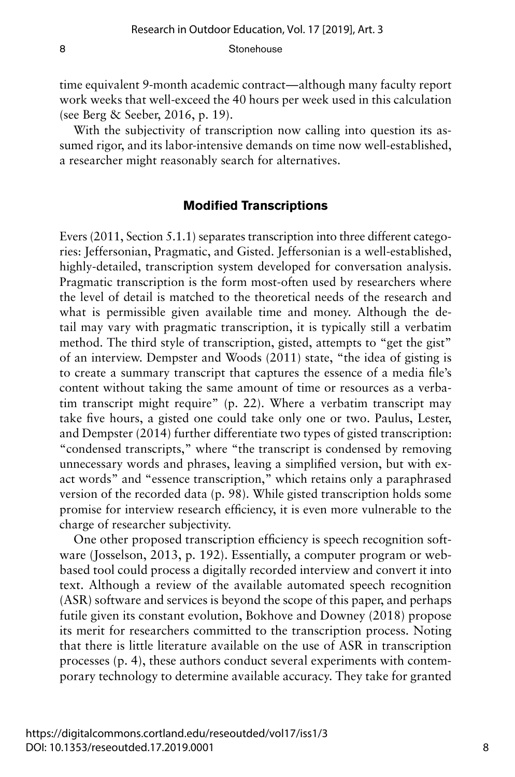time equivalent 9-month academic contract—although many faculty report work weeks that well-exceed the 40 hours per week used in this calculation (see Berg & Seeber, 2016, p. 19).

With the subjectivity of transcription now calling into question its assumed rigor, and its labor-intensive demands on time now well-established, a researcher might reasonably search for alternatives.

#### **Modified Transcriptions**

Evers (2011, Section 5.1.1) separates transcription into three different categories: Jeffersonian, Pragmatic, and Gisted. Jeffersonian is a well-established, highly-detailed, transcription system developed for conversation analysis. Pragmatic transcription is the form most-often used by researchers where the level of detail is matched to the theoretical needs of the research and what is permissible given available time and money. Although the detail may vary with pragmatic transcription, it is typically still a verbatim method. The third style of transcription, gisted, attempts to "get the gist" of an interview. Dempster and Woods (2011) state, "the idea of gisting is to create a summary transcript that captures the essence of a media file's content without taking the same amount of time or resources as a verbatim transcript might require" (p. 22). Where a verbatim transcript may take five hours, a gisted one could take only one or two. Paulus, Lester, and Dempster (2014) further differentiate two types of gisted transcription: "condensed transcripts," where "the transcript is condensed by removing unnecessary words and phrases, leaving a simplified version, but with exact words" and "essence transcription," which retains only a paraphrased version of the recorded data (p. 98). While gisted transcription holds some promise for interview research efficiency, it is even more vulnerable to the charge of researcher subjectivity.

One other proposed transcription efficiency is speech recognition software (Josselson, 2013, p. 192). Essentially, a computer program or webbased tool could process a digitally recorded interview and convert it into text. Although a review of the available automated speech recognition (ASR) software and services is beyond the scope of this paper, and perhaps futile given its constant evolution, Bokhove and Downey (2018) propose its merit for researchers committed to the transcription process. Noting that there is little literature available on the use of ASR in transcription processes (p. 4), these authors conduct several experiments with contemporary technology to determine available accuracy. They take for granted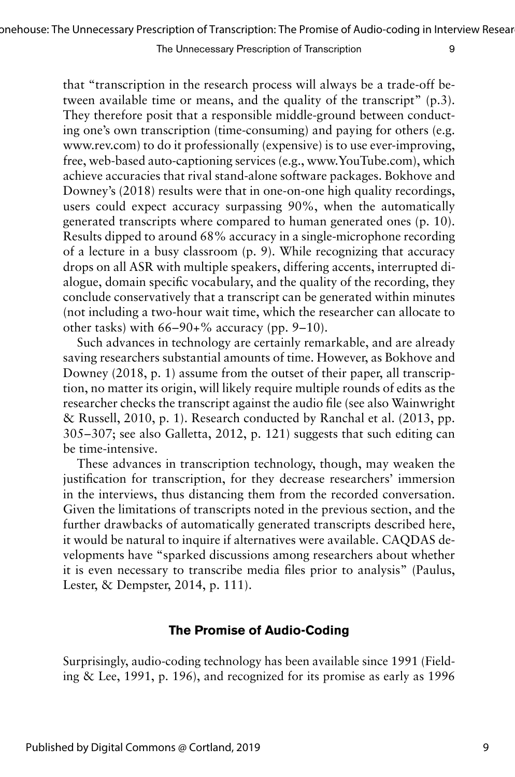that "transcription in the research process will always be a trade-off between available time or means, and the quality of the transcript" (p.3). They therefore posit that a responsible middle-ground between conducting one's own transcription (time-consuming) and paying for others (e.g. www.rev.com) to do it professionally (expensive) is to use ever-improving, free, web-based auto-captioning services (e.g., www.YouTube.com), which achieve accuracies that rival stand-alone software packages. Bokhove and Downey's (2018) results were that in one-on-one high quality recordings, users could expect accuracy surpassing 90%, when the automatically generated transcripts where compared to human generated ones (p. 10). Results dipped to around 68% accuracy in a single-microphone recording of a lecture in a busy classroom (p. 9). While recognizing that accuracy drops on all ASR with multiple speakers, differing accents, interrupted dialogue, domain specific vocabulary, and the quality of the recording, they conclude conservatively that a transcript can be generated within minutes (not including a two-hour wait time, which the researcher can allocate to other tasks) with 66–90+% accuracy (pp. 9–10).

Such advances in technology are certainly remarkable, and are already saving researchers substantial amounts of time. However, as Bokhove and Downey (2018, p. 1) assume from the outset of their paper, all transcription, no matter its origin, will likely require multiple rounds of edits as the researcher checks the transcript against the audio file (see also Wainwright & Russell, 2010, p. 1). Research conducted by Ranchal et al. (2013, pp. 305–307; see also Galletta, 2012, p. 121) suggests that such editing can be time-intensive.

These advances in transcription technology, though, may weaken the justification for transcription, for they decrease researchers' immersion in the interviews, thus distancing them from the recorded conversation. Given the limitations of transcripts noted in the previous section, and the further drawbacks of automatically generated transcripts described here, it would be natural to inquire if alternatives were available. CAQDAS developments have "sparked discussions among researchers about whether it is even necessary to transcribe media files prior to analysis" (Paulus, Lester, & Dempster, 2014, p. 111).

## **The Promise of Audio-Coding**

Surprisingly, audio-coding technology has been available since 1991 (Fielding & Lee, 1991, p. 196), and recognized for its promise as early as 1996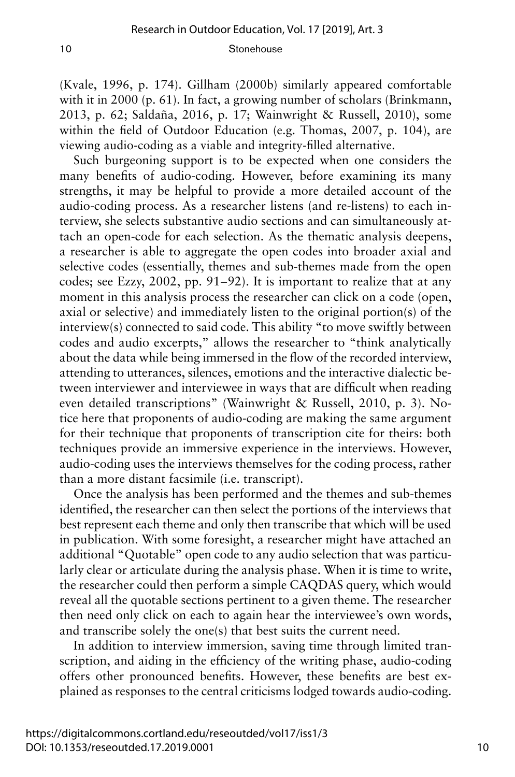(Kvale, 1996, p. 174). Gillham (2000b) similarly appeared comfortable with it in 2000 (p. 61). In fact, a growing number of scholars (Brinkmann, 2013, p. 62; Saldaña, 2016, p. 17; Wainwright & Russell, 2010), some within the field of Outdoor Education (e.g. Thomas, 2007, p. 104), are viewing audio-coding as a viable and integrity-filled alternative.

Such burgeoning support is to be expected when one considers the many benefits of audio-coding. However, before examining its many strengths, it may be helpful to provide a more detailed account of the audio-coding process. As a researcher listens (and re-listens) to each interview, she selects substantive audio sections and can simultaneously attach an open-code for each selection. As the thematic analysis deepens, a researcher is able to aggregate the open codes into broader axial and selective codes (essentially, themes and sub-themes made from the open codes; see Ezzy, 2002, pp. 91–92). It is important to realize that at any moment in this analysis process the researcher can click on a code (open, axial or selective) and immediately listen to the original portion(s) of the interview(s) connected to said code. This ability "to move swiftly between codes and audio excerpts," allows the researcher to "think analytically about the data while being immersed in the flow of the recorded interview, attending to utterances, silences, emotions and the interactive dialectic between interviewer and interviewee in ways that are difficult when reading even detailed transcriptions" (Wainwright & Russell, 2010, p. 3). Notice here that proponents of audio-coding are making the same argument for their technique that proponents of transcription cite for theirs: both techniques provide an immersive experience in the interviews. However, audio-coding uses the interviews themselves for the coding process, rather than a more distant facsimile (i.e. transcript).

Once the analysis has been performed and the themes and sub-themes identified, the researcher can then select the portions of the interviews that best represent each theme and only then transcribe that which will be used in publication. With some foresight, a researcher might have attached an additional "Quotable" open code to any audio selection that was particularly clear or articulate during the analysis phase. When it is time to write, the researcher could then perform a simple CAQDAS query, which would reveal all the quotable sections pertinent to a given theme. The researcher then need only click on each to again hear the interviewee's own words, and transcribe solely the one(s) that best suits the current need.

In addition to interview immersion, saving time through limited transcription, and aiding in the efficiency of the writing phase, audio-coding offers other pronounced benefits. However, these benefits are best explained as responses to the central criticisms lodged towards audio-coding.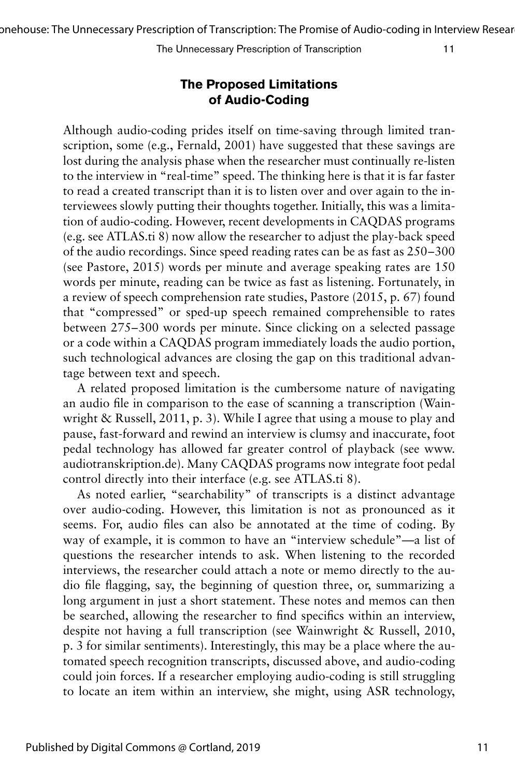onehouse: The Unnecessary Prescription of Transcription: The Promise of Audio-coding in Interview Resear

The Unnecessary Prescription of Transcription 11

# **The Proposed Limitations of Audio-Coding**

Although audio-coding prides itself on time-saving through limited transcription, some (e.g., Fernald, 2001) have suggested that these savings are lost during the analysis phase when the researcher must continually re-listen to the interview in "real-time" speed. The thinking here is that it is far faster to read a created transcript than it is to listen over and over again to the interviewees slowly putting their thoughts together. Initially, this was a limitation of audio-coding. However, recent developments in CAQDAS programs (e.g. see ATLAS.ti 8) now allow the researcher to adjust the play-back speed of the audio recordings. Since speed reading rates can be as fast as 250–300 (see Pastore, 2015) words per minute and average speaking rates are 150 words per minute, reading can be twice as fast as listening. Fortunately, in a review of speech comprehension rate studies, Pastore (2015, p. 67) found that "compressed" or sped-up speech remained comprehensible to rates between 275–300 words per minute. Since clicking on a selected passage or a code within a CAQDAS program immediately loads the audio portion, such technological advances are closing the gap on this traditional advantage between text and speech.

A related proposed limitation is the cumbersome nature of navigating an audio file in comparison to the ease of scanning a transcription (Wainwright & Russell, 2011, p. 3). While I agree that using a mouse to play and pause, fast-forward and rewind an interview is clumsy and inaccurate, foot pedal technology has allowed far greater control of playback (see www. audiotranskription.de). Many CAQDAS programs now integrate foot pedal control directly into their interface (e.g. see ATLAS.ti 8).

As noted earlier, "searchability" of transcripts is a distinct advantage over audio-coding. However, this limitation is not as pronounced as it seems. For, audio files can also be annotated at the time of coding. By way of example, it is common to have an "interview schedule"—a list of questions the researcher intends to ask. When listening to the recorded interviews, the researcher could attach a note or memo directly to the audio file flagging, say, the beginning of question three, or, summarizing a long argument in just a short statement. These notes and memos can then be searched, allowing the researcher to find specifics within an interview, despite not having a full transcription (see Wainwright & Russell, 2010, p. 3 for similar sentiments). Interestingly, this may be a place where the automated speech recognition transcripts, discussed above, and audio-coding could join forces. If a researcher employing audio-coding is still struggling to locate an item within an interview, she might, using ASR technology,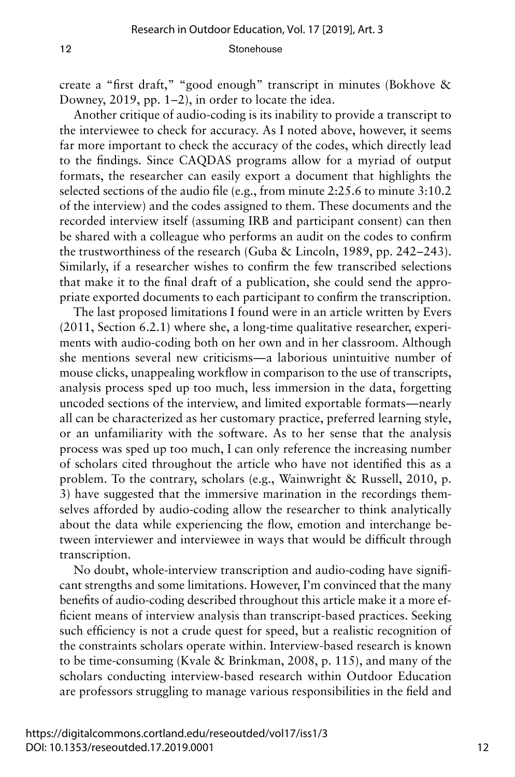create a "first draft," "good enough" transcript in minutes (Bokhove & Downey, 2019, pp. 1–2), in order to locate the idea.

Another critique of audio-coding is its inability to provide a transcript to the interviewee to check for accuracy. As I noted above, however, it seems far more important to check the accuracy of the codes, which directly lead to the findings. Since CAQDAS programs allow for a myriad of output formats, the researcher can easily export a document that highlights the selected sections of the audio file (e.g., from minute 2:25.6 to minute 3:10.2 of the interview) and the codes assigned to them. These documents and the recorded interview itself (assuming IRB and participant consent) can then be shared with a colleague who performs an audit on the codes to confirm the trustworthiness of the research (Guba & Lincoln, 1989, pp. 242–243). Similarly, if a researcher wishes to confirm the few transcribed selections that make it to the final draft of a publication, she could send the appropriate exported documents to each participant to confirm the transcription.

The last proposed limitations I found were in an article written by Evers (2011, Section 6.2.1) where she, a long-time qualitative researcher, experiments with audio-coding both on her own and in her classroom. Although she mentions several new criticisms—a laborious unintuitive number of mouse clicks, unappealing workflow in comparison to the use of transcripts, analysis process sped up too much, less immersion in the data, forgetting uncoded sections of the interview, and limited exportable formats—nearly all can be characterized as her customary practice, preferred learning style, or an unfamiliarity with the software. As to her sense that the analysis process was sped up too much, I can only reference the increasing number of scholars cited throughout the article who have not identified this as a problem. To the contrary, scholars (e.g., Wainwright & Russell, 2010, p. 3) have suggested that the immersive marination in the recordings themselves afforded by audio-coding allow the researcher to think analytically about the data while experiencing the flow, emotion and interchange between interviewer and interviewee in ways that would be difficult through transcription.

No doubt, whole-interview transcription and audio-coding have significant strengths and some limitations. However, I'm convinced that the many benefits of audio-coding described throughout this article make it a more efficient means of interview analysis than transcript-based practices. Seeking such efficiency is not a crude quest for speed, but a realistic recognition of the constraints scholars operate within. Interview-based research is known to be time-consuming (Kvale & Brinkman, 2008, p. 115), and many of the scholars conducting interview-based research within Outdoor Education are professors struggling to manage various responsibilities in the field and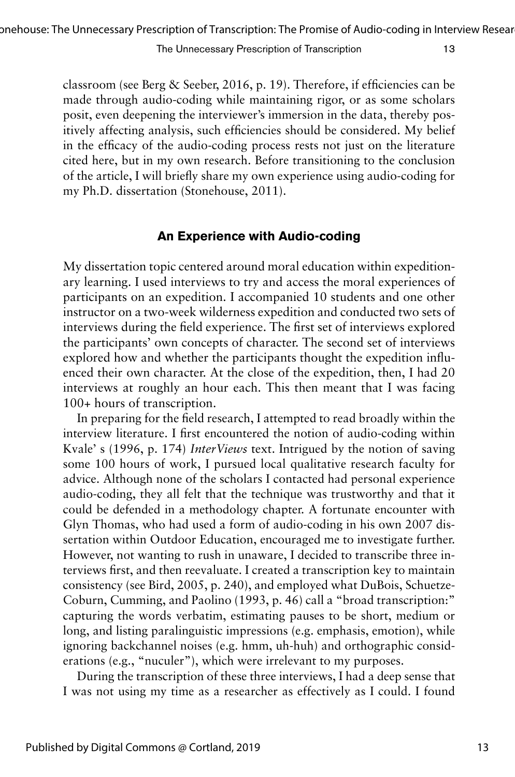classroom (see Berg & Seeber, 2016, p. 19). Therefore, if efficiencies can be made through audio-coding while maintaining rigor, or as some scholars posit, even deepening the interviewer's immersion in the data, thereby positively affecting analysis, such efficiencies should be considered. My belief in the efficacy of the audio-coding process rests not just on the literature cited here, but in my own research. Before transitioning to the conclusion of the article, I will briefly share my own experience using audio-coding for my Ph.D. dissertation (Stonehouse, 2011).

## **An Experience with Audio-coding**

My dissertation topic centered around moral education within expeditionary learning. I used interviews to try and access the moral experiences of participants on an expedition. I accompanied 10 students and one other instructor on a two-week wilderness expedition and conducted two sets of interviews during the field experience. The first set of interviews explored the participants' own concepts of character. The second set of interviews explored how and whether the participants thought the expedition influenced their own character. At the close of the expedition, then, I had 20 interviews at roughly an hour each. This then meant that I was facing 100+ hours of transcription.

In preparing for the field research, I attempted to read broadly within the interview literature. I first encountered the notion of audio-coding within Kvale' s (1996, p. 174) *InterViews* text. Intrigued by the notion of saving some 100 hours of work, I pursued local qualitative research faculty for advice. Although none of the scholars I contacted had personal experience audio-coding, they all felt that the technique was trustworthy and that it could be defended in a methodology chapter. A fortunate encounter with Glyn Thomas, who had used a form of audio-coding in his own 2007 dissertation within Outdoor Education, encouraged me to investigate further. However, not wanting to rush in unaware, I decided to transcribe three interviews first, and then reevaluate. I created a transcription key to maintain consistency (see Bird, 2005, p. 240), and employed what DuBois, Schuetze-Coburn, Cumming, and Paolino (1993, p. 46) call a "broad transcription:" capturing the words verbatim, estimating pauses to be short, medium or long, and listing paralinguistic impressions (e.g. emphasis, emotion), while ignoring backchannel noises (e.g. hmm, uh-huh) and orthographic considerations (e.g., "nuculer"), which were irrelevant to my purposes.

During the transcription of these three interviews, I had a deep sense that I was not using my time as a researcher as effectively as I could. I found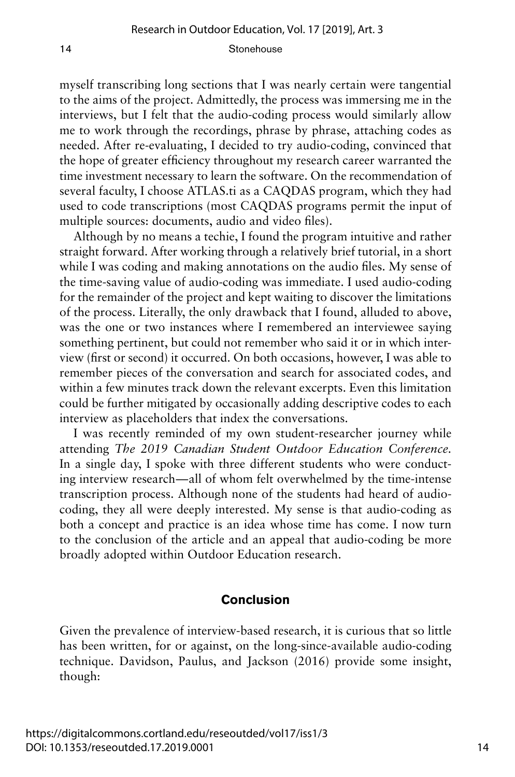myself transcribing long sections that I was nearly certain were tangential to the aims of the project. Admittedly, the process was immersing me in the interviews, but I felt that the audio-coding process would similarly allow me to work through the recordings, phrase by phrase, attaching codes as needed. After re-evaluating, I decided to try audio-coding, convinced that the hope of greater efficiency throughout my research career warranted the time investment necessary to learn the software. On the recommendation of several faculty, I choose ATLAS.ti as a CAQDAS program, which they had used to code transcriptions (most CAQDAS programs permit the input of multiple sources: documents, audio and video files).

Although by no means a techie, I found the program intuitive and rather straight forward. After working through a relatively brief tutorial, in a short while I was coding and making annotations on the audio files. My sense of the time-saving value of audio-coding was immediate. I used audio-coding for the remainder of the project and kept waiting to discover the limitations of the process. Literally, the only drawback that I found, alluded to above, was the one or two instances where I remembered an interviewee saying something pertinent, but could not remember who said it or in which interview (first or second) it occurred. On both occasions, however, I was able to remember pieces of the conversation and search for associated codes, and within a few minutes track down the relevant excerpts. Even this limitation could be further mitigated by occasionally adding descriptive codes to each interview as placeholders that index the conversations.

I was recently reminded of my own student-researcher journey while attending *The 2019 Canadian Student Outdoor Education Conference.* In a single day, I spoke with three different students who were conducting interview research—all of whom felt overwhelmed by the time-intense transcription process. Although none of the students had heard of audiocoding, they all were deeply interested. My sense is that audio-coding as both a concept and practice is an idea whose time has come. I now turn to the conclusion of the article and an appeal that audio-coding be more broadly adopted within Outdoor Education research.

#### **Conclusion**

Given the prevalence of interview-based research, it is curious that so little has been written, for or against, on the long-since-available audio-coding technique. Davidson, Paulus, and Jackson (2016) provide some insight, though: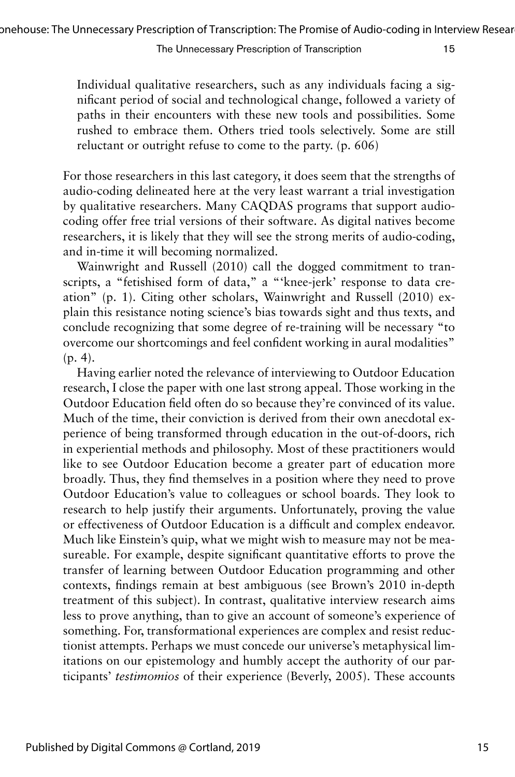Individual qualitative researchers, such as any individuals facing a significant period of social and technological change, followed a variety of paths in their encounters with these new tools and possibilities. Some rushed to embrace them. Others tried tools selectively. Some are still reluctant or outright refuse to come to the party. (p. 606)

For those researchers in this last category, it does seem that the strengths of audio-coding delineated here at the very least warrant a trial investigation by qualitative researchers. Many CAQDAS programs that support audiocoding offer free trial versions of their software. As digital natives become researchers, it is likely that they will see the strong merits of audio-coding, and in-time it will becoming normalized.

Wainwright and Russell (2010) call the dogged commitment to transcripts, a "fetishised form of data," a "'knee-jerk' response to data creation" (p. 1). Citing other scholars, Wainwright and Russell (2010) explain this resistance noting science's bias towards sight and thus texts, and conclude recognizing that some degree of re-training will be necessary "to overcome our shortcomings and feel confident working in aural modalities" (p. 4).

Having earlier noted the relevance of interviewing to Outdoor Education research, I close the paper with one last strong appeal. Those working in the Outdoor Education field often do so because they're convinced of its value. Much of the time, their conviction is derived from their own anecdotal experience of being transformed through education in the out-of-doors, rich in experiential methods and philosophy. Most of these practitioners would like to see Outdoor Education become a greater part of education more broadly. Thus, they find themselves in a position where they need to prove Outdoor Education's value to colleagues or school boards. They look to research to help justify their arguments. Unfortunately, proving the value or effectiveness of Outdoor Education is a difficult and complex endeavor. Much like Einstein's quip, what we might wish to measure may not be measureable. For example, despite significant quantitative efforts to prove the transfer of learning between Outdoor Education programming and other contexts, findings remain at best ambiguous (see Brown's 2010 in-depth treatment of this subject). In contrast, qualitative interview research aims less to prove anything, than to give an account of someone's experience of something. For, transformational experiences are complex and resist reductionist attempts. Perhaps we must concede our universe's metaphysical limitations on our epistemology and humbly accept the authority of our participants' *testimomios* of their experience (Beverly, 2005). These accounts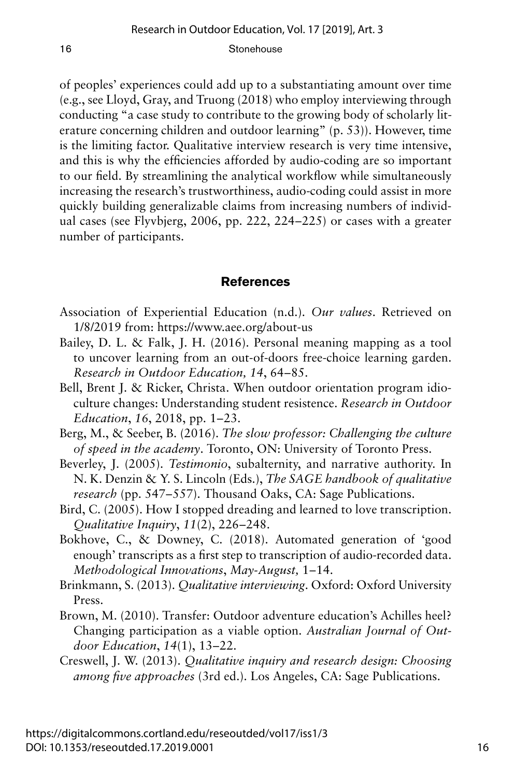of peoples' experiences could add up to a substantiating amount over time (e.g., see Lloyd, Gray, and Truong (2018) who employ interviewing through conducting "a case study to contribute to the growing body of scholarly literature concerning children and outdoor learning" (p. 53)). However, time is the limiting factor. Qualitative interview research is very time intensive, and this is why the efficiencies afforded by audio-coding are so important to our field. By streamlining the analytical workflow while simultaneously increasing the research's trustworthiness, audio-coding could assist in more quickly building generalizable claims from increasing numbers of individual cases (see Flyvbjerg, 2006, pp. 222, 224–225) or cases with a greater number of participants.

## **References**

- Association of Experiential Education (n.d.). *Our values*. Retrieved on 1/8/2019 from: https://www.aee.org/about-us
- Bailey, D. L. & Falk, J. H. (2016). Personal meaning mapping as a tool to uncover learning from an out-of-doors free-choice learning garden. *Research in Outdoor Education, 14*, 64–85.
- Bell, Brent J. & Ricker, Christa. When outdoor orientation program idioculture changes: Understanding student resistence. *Research in Outdoor Education*, *16*, 2018, pp. 1–23.
- Berg, M., & Seeber, B. (2016). *The slow professor: Challenging the culture of speed in the academy*. Toronto, ON: University of Toronto Press.
- Beverley, J. (2005). *Testimonio*, subalternity, and narrative authority. In N. K. Denzin & Y. S. Lincoln (Eds.), *The SAGE handbook of qualitative research* (pp. 547–557). Thousand Oaks, CA: Sage Publications.
- Bird, C. (2005). How I stopped dreading and learned to love transcription. *Qualitative Inquiry*, *11*(2), 226–248.
- Bokhove, C., & Downey, C. (2018). Automated generation of 'good enough' transcripts as a first step to transcription of audio-recorded data. *Methodological Innovations*, *May-August,* 1–14.
- Brinkmann, S. (2013). *Qualitative interviewing*. Oxford: Oxford University Press.
- Brown, M. (2010). Transfer: Outdoor adventure education's Achilles heel? Changing participation as a viable option. *Australian Journal of Outdoor Education*, *14*(1), 13–22.
- Creswell, J. W. (2013). *Qualitative inquiry and research design: Choosing among five approaches* (3rd ed.). Los Angeles, CA: Sage Publications.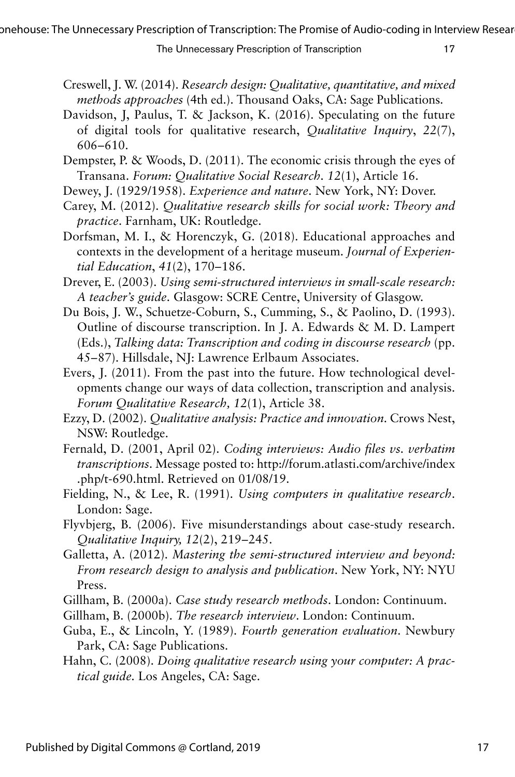onehouse: The Unnecessary Prescription of Transcription: The Promise of Audio-coding in Interview Resear

The Unnecessary Prescription of Transcription 17

- Creswell, J. W. (2014). *Research design: Qualitative, quantitative, and mixed methods approaches* (4th ed.). Thousand Oaks, CA: Sage Publications.
- Davidson, J, Paulus, T. & Jackson, K. (2016). Speculating on the future of digital tools for qualitative research, *Qualitative Inquiry*, *22*(7), 606–610.
- Dempster, P. & Woods, D. (2011). The economic crisis through the eyes of Transana. *Forum: Qualitative Social Research. 12*(1), Article 16.
- Dewey, J. (1929/1958). *Experience and nature*. New York, NY: Dover.
- Carey, M. (2012). *Qualitative research skills for social work: Theory and practice*. Farnham, UK: Routledge.
- Dorfsman, M. I., & Horenczyk, G. (2018). Educational approaches and contexts in the development of a heritage museum. *Journal of Experiential Education*, *41*(2), 170–186.
- Drever, E. (2003). *Using semi-structured interviews in small-scale research: A teacher's guide*. Glasgow: SCRE Centre, University of Glasgow.
- Du Bois, J. W., Schuetze-Coburn, S., Cumming, S., & Paolino, D. (1993). Outline of discourse transcription. In J. A. Edwards & M. D. Lampert (Eds.), *Talking data: Transcription and coding in discourse research* (pp. 45–87). Hillsdale, NJ: Lawrence Erlbaum Associates.
- Evers, J. (2011). From the past into the future. How technological developments change our ways of data collection, transcription and analysis. *Forum Qualitative Research, 12*(1), Article 38.
- Ezzy, D. (2002). *Qualitative analysis: Practice and innovation*. Crows Nest, NSW: Routledge.
- Fernald, D. (2001, April 02). *Coding interviews: Audio files vs. verbatim transcriptions*. Message posted to: http://forum.atlasti.com/archive/index .php/t-690.html. Retrieved on 01/08/19.
- Fielding, N., & Lee, R. (1991). *Using computers in qualitative research*. London: Sage.
- Flyvbjerg, B. (2006). Five misunderstandings about case-study research. *Qualitative Inquiry, 12*(2), 219–245.
- Galletta, A. (2012). *Mastering the semi-structured interview and beyond: From research design to analysis and publication*. New York, NY: NYU Press.
- Gillham, B. (2000a). *Case study research methods*. London: Continuum.
- Gillham, B. (2000b). *The research interview*. London: Continuum.
- Guba, E., & Lincoln, Y. (1989). *Fourth generation evaluation*. Newbury Park, CA: Sage Publications.
- Hahn, C. (2008). *Doing qualitative research using your computer: A practical guide.* Los Angeles, CA: Sage.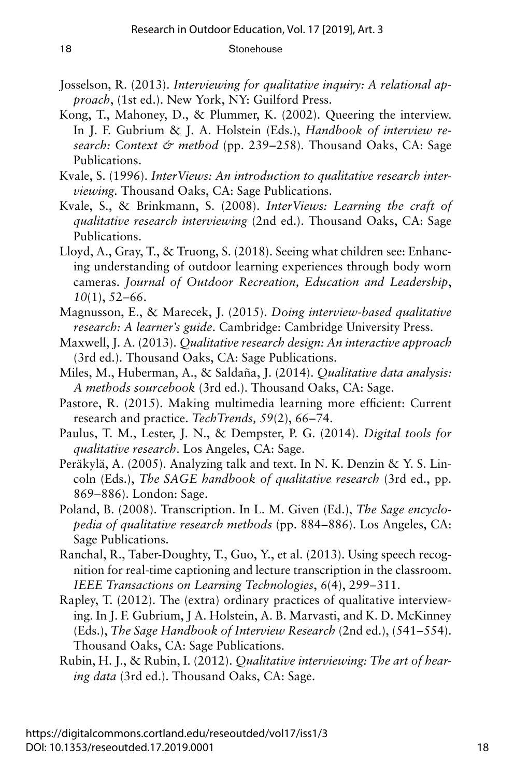- Josselson, R. (2013). *Interviewing for qualitative inquiry: A relational approach*, (1st ed.). New York, NY: Guilford Press.
- Kong, T., Mahoney, D., & Plummer, K. (2002). Queering the interview. In J. F. Gubrium & J. A. Holstein (Eds.), *Handbook of interview research: Context & method* (pp. 239–258). Thousand Oaks, CA: Sage Publications.
- Kvale, S. (1996). *InterViews: An introduction to qualitative research interviewing.* Thousand Oaks, CA: Sage Publications.
- Kvale, S., & Brinkmann, S. (2008). *InterViews: Learning the craft of qualitative research interviewing* (2nd ed.). Thousand Oaks, CA: Sage Publications.
- Lloyd, A., Gray, T., & Truong, S. (2018). Seeing what children see: Enhancing understanding of outdoor learning experiences through body worn cameras. *Journal of Outdoor Recreation, Education and Leadership*, *10*(1), 52–66.
- Magnusson, E., & Marecek, J. (2015). *Doing interview-based qualitative research: A learner's guide*. Cambridge: Cambridge University Press.
- Maxwell, J. A. (2013). *Qualitative research design: An interactive approach* (3rd ed.). Thousand Oaks, CA: Sage Publications.
- Miles, M., Huberman, A., & Saldaña, J. (2014). *Qualitative data analysis: A methods sourcebook* (3rd ed.). Thousand Oaks, CA: Sage.
- Pastore, R. (2015). Making multimedia learning more efficient: Current research and practice. *TechTrends, 59*(2), 66–74.
- Paulus, T. M., Lester, J. N., & Dempster, P. G. (2014). *Digital tools for qualitative research*. Los Angeles, CA: Sage.
- Peräkylä, A. (2005). Analyzing talk and text. In N. K. Denzin & Y. S. Lincoln (Eds.), *The SAGE handbook of qualitative research* (3rd ed., pp. 869–886). London: Sage.
- Poland, B. (2008). Transcription. In L. M. Given (Ed.), *The Sage encyclopedia of qualitative research methods* (pp. 884–886). Los Angeles, CA: Sage Publications.
- Ranchal, R., Taber-Doughty, T., Guo, Y., et al. (2013). Using speech recognition for real-time captioning and lecture transcription in the classroom. *IEEE Transactions on Learning Technologies*, *6*(4), 299–311.
- Rapley, T. (2012). The (extra) ordinary practices of qualitative interviewing. In J. F. Gubrium, J A. Holstein, A. B. Marvasti, and K. D. McKinney (Eds.), *The Sage Handbook of Interview Research* (2nd ed.), (541–554). Thousand Oaks, CA: Sage Publications.
- Rubin, H. J., & Rubin, I. (2012). *Qualitative interviewing: The art of hearing data* (3rd ed.). Thousand Oaks, CA: Sage.